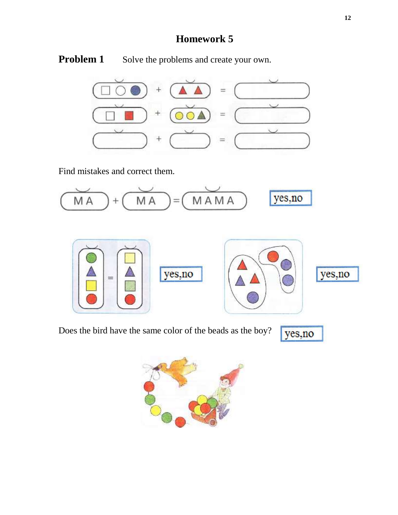## **Homework 5**

**Problem 1** Solve the problems and create your own.



Find mistakes and correct them.



Does the bird have the same color of the beads as the boy?

yes, no

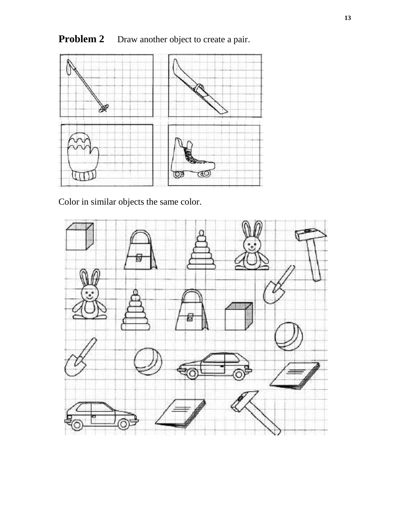## **Problem 2** Draw another object to create a pair.



Color in similar objects the same color.

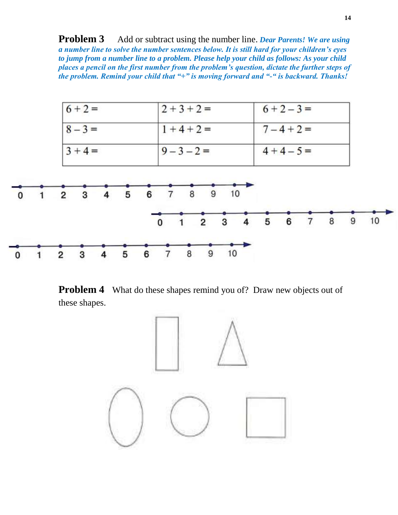**Problem 3** Add or subtract using the number line. *Dear Parents! We are using a number line to solve the number sentences below. It is still hard for your children's eyes to jump from a number line to a problem. Please help your child as follows: As your child places a pencil on the first number from the problem's question, dictate the further steps of the problem. Remind your child that "+" is moving forward and "-" is backward. Thanks!*



**Problem 4** What do these shapes remind you of? Draw new objects out of these shapes.

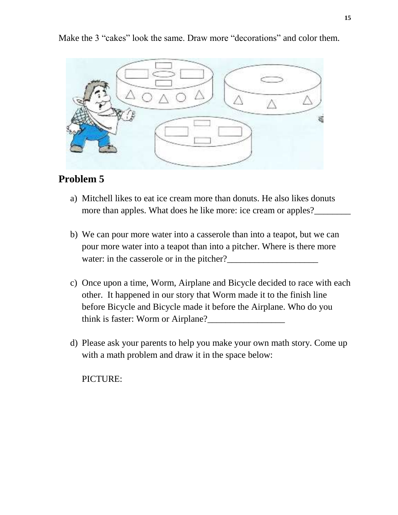## **Problem 5**

- a) Mitchell likes to eat ice cream more than donuts. He also likes donuts more than apples. What does he like more: ice cream or apples?\_\_\_\_\_\_\_\_\_\_\_\_\_\_\_\_\_\_\_
- b) We can pour more water into a casserole than into a teapot, but we can pour more water into a teapot than into a pitcher. Where is there more water: in the casserole or in the pitcher?\_\_\_\_\_\_\_\_\_\_\_\_\_\_\_\_\_\_\_\_
- c) Once upon a time, Worm, Airplane and Bicycle decided to race with each other. It happened in our story that Worm made it to the finish line before Bicycle and Bicycle made it before the Airplane. Who do you think is faster: Worm or Airplane?
- d) Please ask your parents to help you make your own math story. Come up with a math problem and draw it in the space below:

PICTURE:

Make the 3 "cakes" look the same. Draw more "decorations" and color them.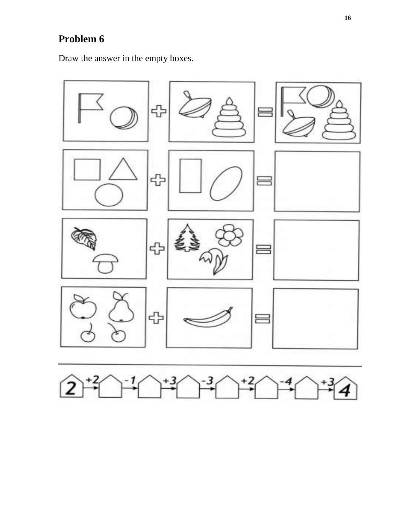## **Problem 6**

Draw the answer in the empty boxes.